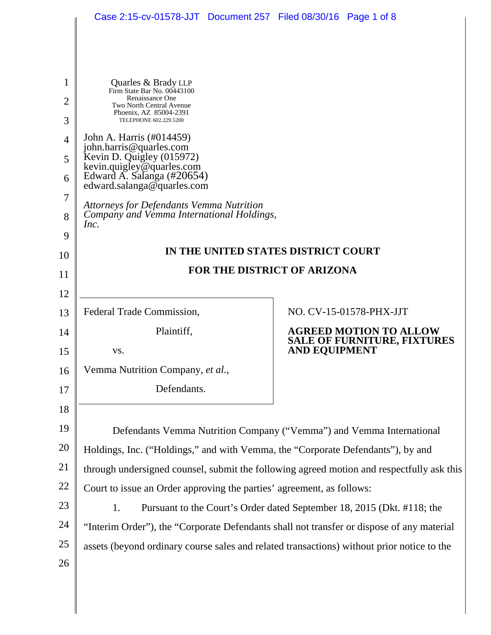|                | Case 2:15-cv-01578-JJT  Document 257  Filed 08/30/16  Page 1 of 8                                    |  |                                              |  |
|----------------|------------------------------------------------------------------------------------------------------|--|----------------------------------------------|--|
|                |                                                                                                      |  |                                              |  |
| 1              | Quarles & Brady LLP<br>Firm State Bar No. 00443100                                                   |  |                                              |  |
| $\overline{2}$ | Renaissance One<br>Two North Central Avenue                                                          |  |                                              |  |
| 3              | Phoenix, AZ 85004-2391<br>TELEPHONE 602.229.5200                                                     |  |                                              |  |
| $\overline{4}$ | John A. Harris (#014459)<br>john.harris@quarles.com                                                  |  |                                              |  |
| 5              | Kevin D. Quigley (015972)<br>kevin.quigley@quarles.com                                               |  |                                              |  |
| 6              | Edward A. Salanga (#20654)<br>edward.salanga@quarles.com                                             |  |                                              |  |
| 7              | <b>Attorneys for Defendants Vemma Nutrition</b><br>Company and Vemma International Holdings,<br>Inc. |  |                                              |  |
| 8              |                                                                                                      |  |                                              |  |
| 9              |                                                                                                      |  |                                              |  |
| 10             | IN THE UNITED STATES DISTRICT COURT                                                                  |  |                                              |  |
| 11             | FOR THE DISTRICT OF ARIZONA                                                                          |  |                                              |  |
| 12             |                                                                                                      |  |                                              |  |
| 13             | Federal Trade Commission,                                                                            |  | NO. CV-15-01578-PHX-JJT                      |  |
| 14             | Plaintiff,                                                                                           |  | <b>AGREED MOTION TO ALLOW</b>                |  |
| 15             | VS.                                                                                                  |  | SALE OF FURNITURE, FIXTURES<br>AND EQUIPMENT |  |
| 16             | Vemma Nutrition Company, et al.,                                                                     |  |                                              |  |
| 17             | Defendants.                                                                                          |  |                                              |  |
| 18             |                                                                                                      |  |                                              |  |
| 19             | Defendants Vemma Nutrition Company ("Vemma") and Vemma International                                 |  |                                              |  |
| 20             | Holdings, Inc. ("Holdings," and with Vemma, the "Corporate Defendants"), by and                      |  |                                              |  |
| 21             | through undersigned counsel, submit the following agreed motion and respectfully ask this            |  |                                              |  |
| 22             | Court to issue an Order approving the parties' agreement, as follows:                                |  |                                              |  |
| 23             | 1.<br>Pursuant to the Court's Order dated September 18, 2015 (Dkt. #118; the                         |  |                                              |  |
| 24             | "Interim Order"), the "Corporate Defendants shall not transfer or dispose of any material            |  |                                              |  |
| 25             | assets (beyond ordinary course sales and related transactions) without prior notice to the           |  |                                              |  |
| 26             |                                                                                                      |  |                                              |  |
|                |                                                                                                      |  |                                              |  |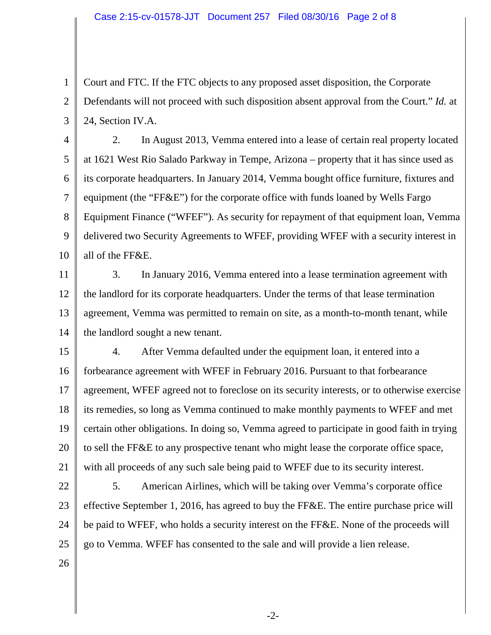1 2 3 Court and FTC. If the FTC objects to any proposed asset disposition, the Corporate Defendants will not proceed with such disposition absent approval from the Court." *Id.* at 24, Section IV.A.

4 5 6 7 8 9 10 2. In August 2013, Vemma entered into a lease of certain real property located at 1621 West Rio Salado Parkway in Tempe, Arizona – property that it has since used as its corporate headquarters. In January 2014, Vemma bought office furniture, fixtures and equipment (the "FF&E") for the corporate office with funds loaned by Wells Fargo Equipment Finance ("WFEF"). As security for repayment of that equipment loan, Vemma delivered two Security Agreements to WFEF, providing WFEF with a security interest in all of the FF&E.

11 12 13 14 3. In January 2016, Vemma entered into a lease termination agreement with the landlord for its corporate headquarters. Under the terms of that lease termination agreement, Vemma was permitted to remain on site, as a month-to-month tenant, while the landlord sought a new tenant.

15 16 17 18 19 20 21 4. After Vemma defaulted under the equipment loan, it entered into a forbearance agreement with WFEF in February 2016. Pursuant to that forbearance agreement, WFEF agreed not to foreclose on its security interests, or to otherwise exercise its remedies, so long as Vemma continued to make monthly payments to WFEF and met certain other obligations. In doing so, Vemma agreed to participate in good faith in trying to sell the FF&E to any prospective tenant who might lease the corporate office space, with all proceeds of any such sale being paid to WFEF due to its security interest.

22 23 24 25 5. American Airlines, which will be taking over Vemma's corporate office effective September 1, 2016, has agreed to buy the FF&E. The entire purchase price will be paid to WFEF, who holds a security interest on the FF&E. None of the proceeds will go to Vemma. WFEF has consented to the sale and will provide a lien release.

26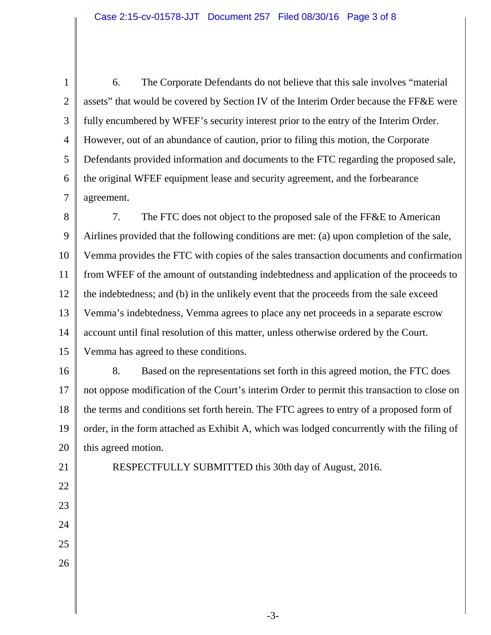1 2 3 4 5 6 7 6. The Corporate Defendants do not believe that this sale involves "material assets" that would be covered by Section IV of the Interim Order because the FF&E were fully encumbered by WFEF's security interest prior to the entry of the Interim Order. However, out of an abundance of caution, prior to filing this motion, the Corporate Defendants provided information and documents to the FTC regarding the proposed sale, the original WFEF equipment lease and security agreement, and the forbearance agreement.

8 9 10 11 12 13 14 15 7. The FTC does not object to the proposed sale of the FF&E to American Airlines provided that the following conditions are met: (a) upon completion of the sale, Vemma provides the FTC with copies of the sales transaction documents and confirmation from WFEF of the amount of outstanding indebtedness and application of the proceeds to the indebtedness; and (b) in the unlikely event that the proceeds from the sale exceed Vemma's indebtedness, Vemma agrees to place any net proceeds in a separate escrow account until final resolution of this matter, unless otherwise ordered by the Court. Vemma has agreed to these conditions.

16 17 18 19 20 8. Based on the representations set forth in this agreed motion, the FTC does not oppose modification of the Court's interim Order to permit this transaction to close on the terms and conditions set forth herein. The FTC agrees to entry of a proposed form of order, in the form attached as Exhibit A, which was lodged concurrently with the filing of this agreed motion.

RESPECTFULLY SUBMITTED this 30th day of August, 2016.

21 22

23

- 24
- 25 26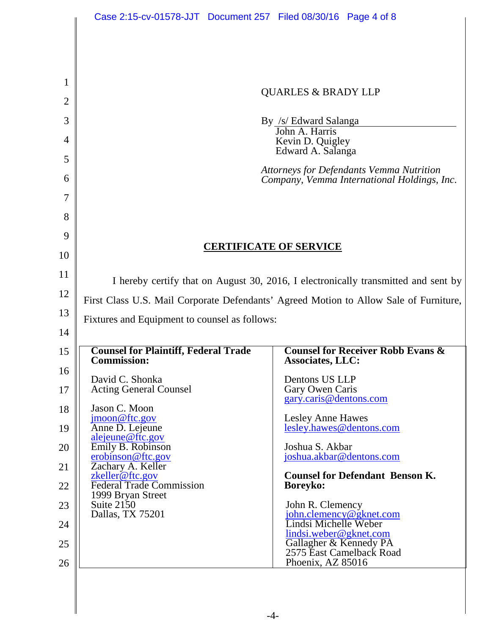|                | Case 2:15-cv-01578-JJT Document 257 Filed 08/30/16 Page 4 of 8                                                                                                              |                                                                            |  |  |
|----------------|-----------------------------------------------------------------------------------------------------------------------------------------------------------------------------|----------------------------------------------------------------------------|--|--|
|                |                                                                                                                                                                             |                                                                            |  |  |
|                |                                                                                                                                                                             |                                                                            |  |  |
|                |                                                                                                                                                                             |                                                                            |  |  |
| 1              |                                                                                                                                                                             | <b>QUARLES &amp; BRADY LLP</b>                                             |  |  |
| $\overline{2}$ |                                                                                                                                                                             |                                                                            |  |  |
| 3              | By /s/ Edward Salanga<br>John A. Harris                                                                                                                                     |                                                                            |  |  |
| 4              | Kevin D. Quigley<br>Edward A. Salanga                                                                                                                                       |                                                                            |  |  |
| 5              |                                                                                                                                                                             | <b>Attorneys for Defendants Vemma Nutrition</b>                            |  |  |
| 6<br>7         |                                                                                                                                                                             | Company, Vemma International Holdings, Inc.                                |  |  |
| 8              |                                                                                                                                                                             |                                                                            |  |  |
| 9              |                                                                                                                                                                             |                                                                            |  |  |
| 10             | <b>CERTIFICATE OF SERVICE</b>                                                                                                                                               |                                                                            |  |  |
| 11             |                                                                                                                                                                             |                                                                            |  |  |
| 12             | I hereby certify that on August 30, 2016, I electronically transmitted and sent by<br>First Class U.S. Mail Corporate Defendants' Agreed Motion to Allow Sale of Furniture, |                                                                            |  |  |
| 13             |                                                                                                                                                                             |                                                                            |  |  |
| 14             | Fixtures and Equipment to counsel as follows:                                                                                                                               |                                                                            |  |  |
| 15             | <b>Counsel for Plaintiff, Federal Trade</b>                                                                                                                                 | <b>Counsel for Receiver Robb Evans &amp;</b>                               |  |  |
| 16             | <b>Commission:</b>                                                                                                                                                          | <b>Associates, LLC:</b>                                                    |  |  |
| 17             | David C. Shonka<br><b>Acting General Counsel</b>                                                                                                                            | Dentons US LLP<br>Gary Owen Caris                                          |  |  |
| 18             | Jason C. Moon                                                                                                                                                               | gary.caris@dentons.com                                                     |  |  |
| 19             | jmoon@ftc.gov<br>Anne D. Lejeune                                                                                                                                            | <b>Lesley Anne Hawes</b><br>lesley.hawes@dentons.com                       |  |  |
| 20             | alejeune@ftc.gov<br>Emily B. Robinson                                                                                                                                       | Joshua S. Akbar                                                            |  |  |
| 21             | erobinson@ftc.gov<br>Zachary A. Keller                                                                                                                                      | joshua.akbar@dentons.com                                                   |  |  |
| 22             | zkeller@ftc.gov<br><b>Federal Trade Commission</b>                                                                                                                          | <b>Counsel for Defendant Benson K.</b><br><b>Boreyko:</b>                  |  |  |
| 23             | 1999 Bryan Street<br>Suite $2150$<br>Dallas, TX 75201                                                                                                                       | John R. Clemency                                                           |  |  |
| 24             |                                                                                                                                                                             | john.clemency@gknet.com<br>Lindsi Michelle Weber<br>lindsi.weber@gknet.com |  |  |
| 25             |                                                                                                                                                                             | Gallagher & Kennedy PA<br>2575 East Camelback Road                         |  |  |
| 26             |                                                                                                                                                                             | Phoenix, AZ 85016                                                          |  |  |
|                |                                                                                                                                                                             |                                                                            |  |  |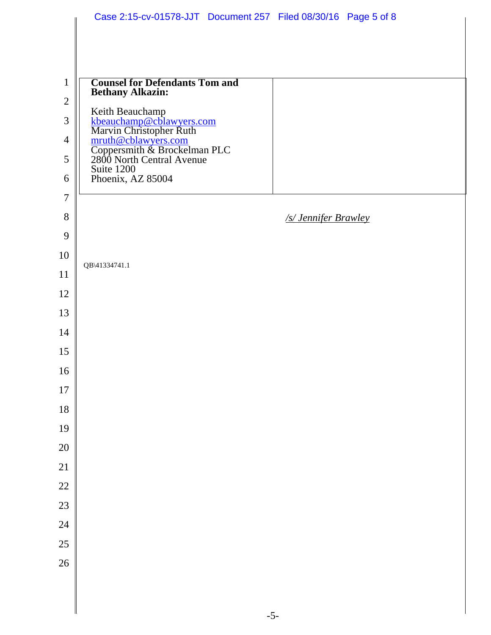|                | Case 2:15-cv-01578-JJT Document 257 Filed 08/30/16 Page 5 of 8                                                                                                           |
|----------------|--------------------------------------------------------------------------------------------------------------------------------------------------------------------------|
|                |                                                                                                                                                                          |
|                |                                                                                                                                                                          |
| $\mathbf{1}$   | <b>Counsel for Defendants Tom and</b>                                                                                                                                    |
| $\mathfrak{2}$ | <b>Bethany Alkazin:</b>                                                                                                                                                  |
| 3              |                                                                                                                                                                          |
| $\overline{4}$ |                                                                                                                                                                          |
| 5              | Keith Beauchamp<br><u>kbeauchamp@cblawyers.com</u><br>Marvin Christopher Ruth<br><u>mruth@cblawyers.com</u><br>Coppersmith & Brockelman PLC<br>2800 North Central Avenue |
| 6              | Suite 1200<br>Phoenix, AZ 85004                                                                                                                                          |
| $\overline{7}$ |                                                                                                                                                                          |
| 8              | /s/ Jennifer Brawley                                                                                                                                                     |
| 9              |                                                                                                                                                                          |
| 10             |                                                                                                                                                                          |
| 11             | QB\41334741.1                                                                                                                                                            |
| 12             |                                                                                                                                                                          |
| 13             |                                                                                                                                                                          |
| 14             |                                                                                                                                                                          |
| 15             |                                                                                                                                                                          |
| 16             |                                                                                                                                                                          |
| $17\,$         |                                                                                                                                                                          |
| 18             |                                                                                                                                                                          |
| 19             |                                                                                                                                                                          |
| $20\,$         |                                                                                                                                                                          |
| $21\,$         |                                                                                                                                                                          |
| $22\,$         |                                                                                                                                                                          |
| $23\,$         |                                                                                                                                                                          |
| $24\,$         |                                                                                                                                                                          |
| $25\,$         |                                                                                                                                                                          |
| 26             |                                                                                                                                                                          |
|                |                                                                                                                                                                          |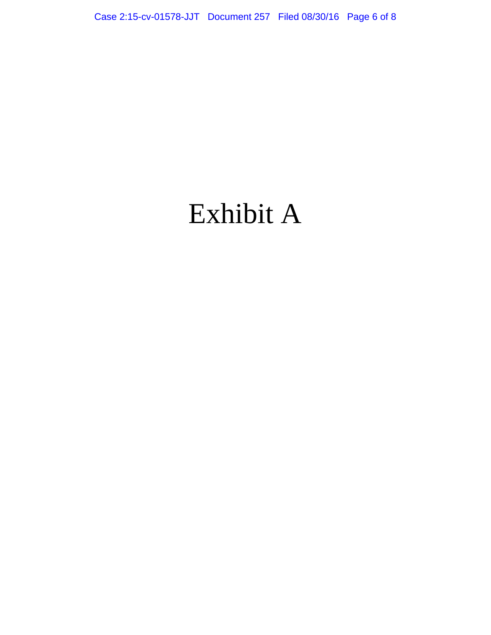## Exhibit A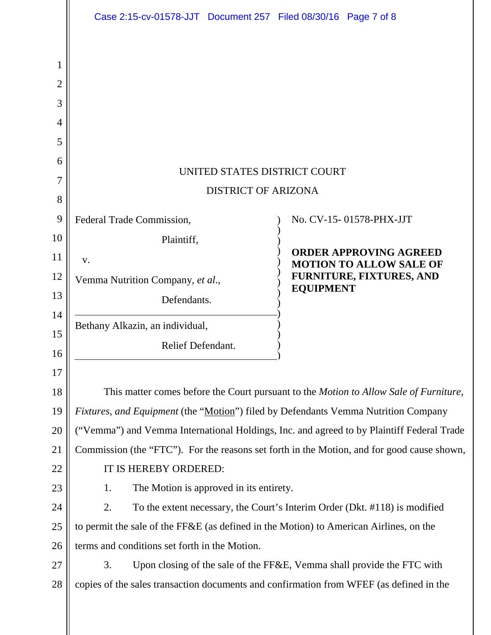|                                      | Case 2:15-cv-01578-JJT Document 257 Filed 08/30/16 Page 7 of 8                             |                                                                                               |  |  |
|--------------------------------------|--------------------------------------------------------------------------------------------|-----------------------------------------------------------------------------------------------|--|--|
| 1<br>2<br>3<br>4<br>5<br>6<br>7<br>8 | UNITED STATES DISTRICT COURT<br><b>DISTRICT OF ARIZONA</b>                                 |                                                                                               |  |  |
| 9                                    | Federal Trade Commission,                                                                  | No. CV-15-01578-PHX-JJT                                                                       |  |  |
| 10                                   | Plaintiff,                                                                                 |                                                                                               |  |  |
| 11                                   | V.                                                                                         | <b>ORDER APPROVING AGREED</b><br><b>MOTION TO ALLOW SALE OF</b>                               |  |  |
| 12                                   | Vemma Nutrition Company, et al.,                                                           | FURNITURE, FIXTURES, AND<br><b>EQUIPMENT</b>                                                  |  |  |
| 13                                   | Defendants.                                                                                |                                                                                               |  |  |
| 14<br>15                             | Bethany Alkazin, an individual,                                                            |                                                                                               |  |  |
| 16                                   | Relief Defendant.                                                                          |                                                                                               |  |  |
| 17                                   |                                                                                            |                                                                                               |  |  |
| 18                                   |                                                                                            | This matter comes before the Court pursuant to the <i>Motion to Allow Sale of Furniture</i> , |  |  |
| 19                                   | Fixtures, and Equipment (the "Motion") filed by Defendants Vemma Nutrition Company         |                                                                                               |  |  |
| 20                                   | ("Vemma") and Vemma International Holdings, Inc. and agreed to by Plaintiff Federal Trade  |                                                                                               |  |  |
| 21                                   | Commission (the "FTC"). For the reasons set forth in the Motion, and for good cause shown, |                                                                                               |  |  |
| 22                                   | IT IS HEREBY ORDERED:                                                                      |                                                                                               |  |  |
| 23                                   | The Motion is approved in its entirety.<br>1.                                              |                                                                                               |  |  |
| 24                                   | 2.<br>To the extent necessary, the Court's Interim Order (Dkt. #118) is modified           |                                                                                               |  |  |
| 25                                   | to permit the sale of the FF&E (as defined in the Motion) to American Airlines, on the     |                                                                                               |  |  |
| 26                                   | terms and conditions set forth in the Motion.                                              |                                                                                               |  |  |
| 27                                   | 3.                                                                                         | Upon closing of the sale of the FF&E, Vemma shall provide the FTC with                        |  |  |
| 28                                   | copies of the sales transaction documents and confirmation from WFEF (as defined in the    |                                                                                               |  |  |
|                                      |                                                                                            |                                                                                               |  |  |